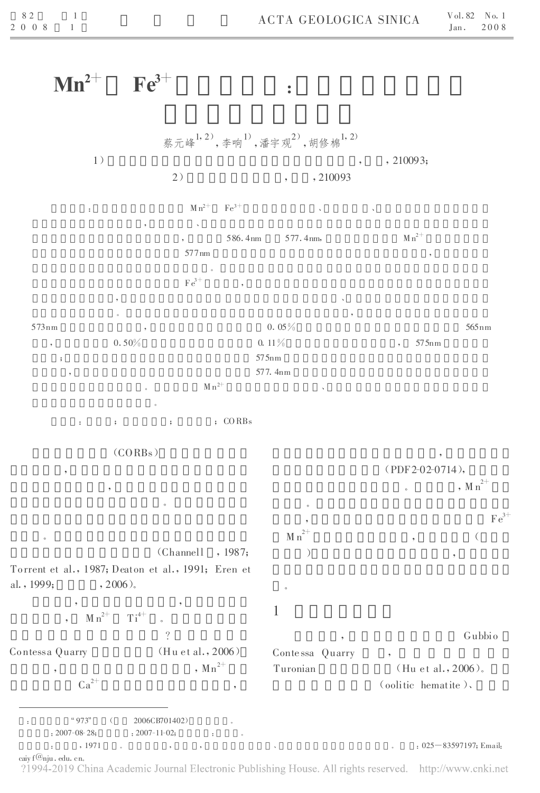## $\mathbf{Mn}^{2+}$ 2+  $\text{Fe}^{3+}$ :<br>:<br>:

:  $4^{\circ}973^{\circ}$  (  $2006CB701402$ ) :  $2007-08-28$ ;  $\qquad \qquad$  :  $2007-11-02$ ;  $\qquad \qquad$ : , 1971 。 , , 、 。 :025—83597197;Email: caiy f@nju. edu. cn.<br>?1994–2019 China Academic Journal Electronic Publishing House. All rights reserved. http://www.cnki.net 蔡元峰<sup>1,2)</sup>,李响<sup>1)</sup>,潘宇观<sup>2)</sup>,胡修棉<sup>1,2)</sup>  $, \, , \, 210093;$ 2) , , 210093 :  $M n^{2+}$  $\mathrm{Fe}^{3+}$ <sup>3</sup> <sup>+</sup> 、 、 , where  $\alpha$  is a  $\alpha$ 586.4nm 577.4nm,  $M n^{2+}$ 577nm , 。  $\mathrm{Fe}^{3+}$ , where  $\mathcal{L}$  is the contract of the contract of the contract of the contract of the contract of the contract of the contract of the contract of the contract of the contract of the contract of the contract of the contr 。 ,  $573 \text{nm}$  ,  $0.05 \%$  565nm  $0.50\%$  , 575nm ; 575nm 577.4nm  $M n^{2+}$  $2^+$ 。 : ; ; ; ; ; cORBs (CORBs) 。 。 (Channell , 1987; Torrent et al., 1987; Deaton et al., 1991; Eren et al.,  $1999;$  ,  $2006$ ). , ,  $M n^{2+}$   $T i^{4+}$  . ? Contessa Quarry (Hu et al., 2006) ,  $Mn^{2+}$  $Ca^{2+}$ (PDF2-02-0714), , M  $n^{2+}$ 。 , Fe  $\overline{F}$  e  $\overline{F}$  e  $\overline{F}$  e  $\overline{F}$  e  $\overline{F}$  e  $\overline{F}$  e  $\overline{F}$  e  $\overline{F}$  e  $\overline{F}$  e  $\overline{F}$  e  $\overline{F}$  e  $\overline{F}$  e  $\overline{F}$  e  $\overline{F}$  e  $\overline{F}$  e  $\overline{F}$  e  $\overline{F}$  e  $\overline{F}$  e  $\overline{F}$  e  $\overline{F}$  $\mathrm{Fe}^{3+}$ M n  $2+$ , (  $\tag{9}$ 。 1 , Gubbio Conte ssa Quarry , Turonian  $(Hu et al., 2006)$ . (oolitic hematite)、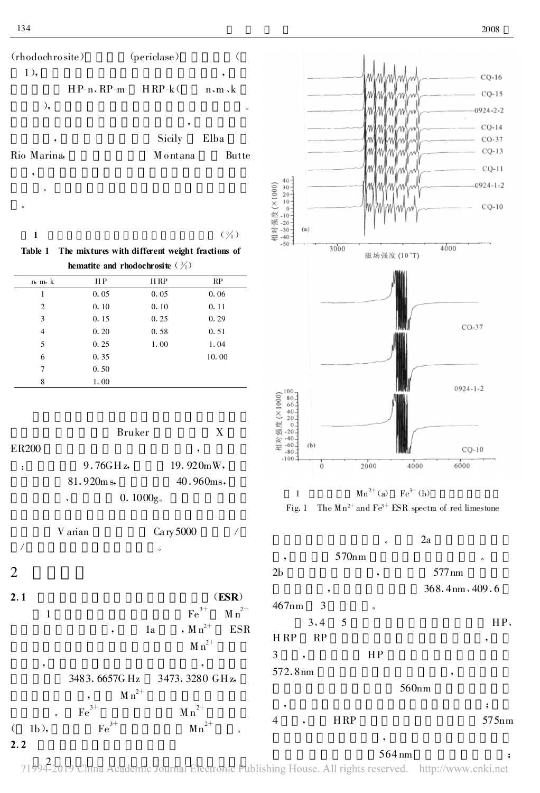



| n, m, k | H P  | H RP | RP    |
|---------|------|------|-------|
| 1       | 0.05 | 0.05 | 0.06  |
| 2       | 0.10 | 0.10 | 0.11  |
| 3       | 0.15 | 0.25 | 0.29  |
| 4       | 0.20 | 0.58 | 0.51  |
| 5       | 0.25 | 1.00 | 1.04  |
| 6       | 0.35 |      | 10.00 |
| 7       | 0.50 |      |       |
| 8       | 1.00 |      |       |







?1994-2019 China Academic Journal Electronic Publishing House. All rights reserved. http://www.cnki.net

 $\overline{1}$ 

 $\overline{2}$ 

 $2.1$ 

 $\mathbf{1}$ 

 $1<sub>b</sub>$ ,

 $\left($  $2.2$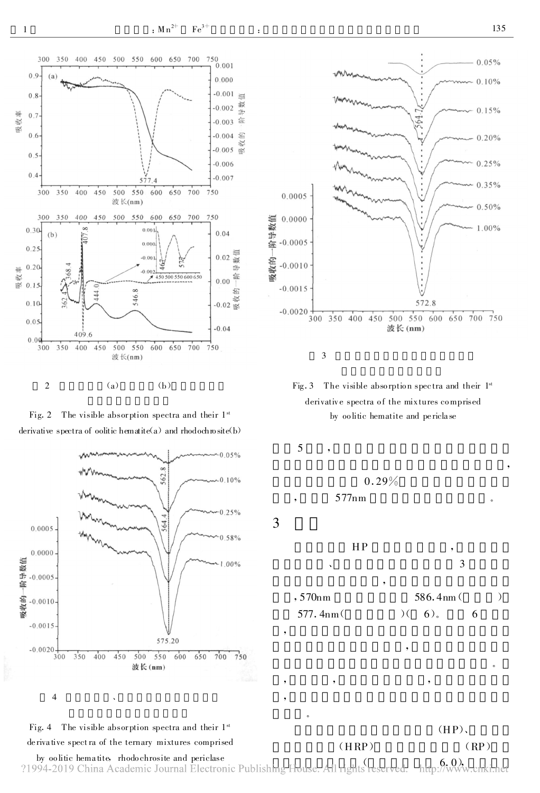

 $\mathbf{1}$ 







 $Fig. 3$ The visible absorption spectra and their 1st derivative spectra of the mixtures comprised by oo litic hematite and periclase



5

3

 $577nm$ 

 $0.29%$ 



 $\mathcal{C}$ 

 $,570nm$ 577.4nm

 $(HRP)$ 

586.4nm  $6$ ). 6

 $\mathcal{E}$ 



by oolitic hematite, rhodochrosite and periclase ?1994-2019 China Academic Journal Electronic Publishing House. All rights reserved.

Fig. 4 The visible absorption spectra and their 1st

derivative spectra of the ternary mixtures comprised

http://www.cnki.net

 $(RP)$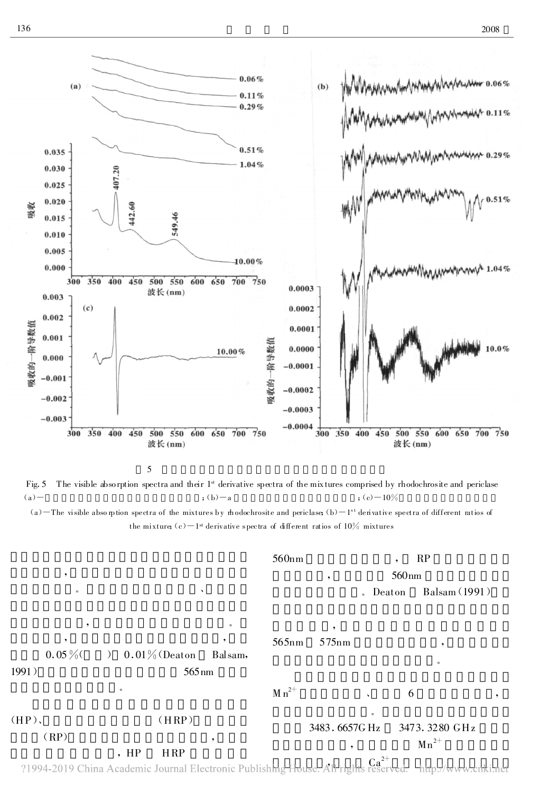

5

Fig. 5 The visible absorption spectra and their 1<sup>st</sup> derivative spectra of the mix tures comprised by rhodochrosite and periclase (a)  $-$  ; (b)  $-a$  ; (c)  $-10\%$  $(a)$  – The visible abso ption spectra of the mixtures by modochrosite and periclase;  $(b)$  – 1<sup>st</sup> derivative spectra of different ratios of the mixture; (c)—1st derivative spectra of different ratios of  $10\%$  mixtures

|          |                                                                                                         |                     | 560nm      |                          | RP                |               |
|----------|---------------------------------------------------------------------------------------------------------|---------------------|------------|--------------------------|-------------------|---------------|
| ,        |                                                                                                         |                     |            | ,                        | 560 <sub>nm</sub> |               |
| $\circ$  |                                                                                                         | $\hat{\phantom{a}}$ |            |                          | . Deaton          | Balsam (1991) |
| ٠        |                                                                                                         | $\circ$             |            | ,                        |                   |               |
| ,        |                                                                                                         | ,                   | 565nm      | 575nm                    | ۰                 |               |
| $0.05\%$ | $0.01\%$ (Deaton<br>$\rightarrow$                                                                       | Balsam,             |            |                          | $\circ$           |               |
| 1991)    |                                                                                                         | $565 \,\mathrm{nm}$ |            |                          |                   |               |
|          | $\circ$                                                                                                 |                     | $M n^{2+}$ | $\lambda$                | 6                 |               |
| $(HP)$ , | (HRP)                                                                                                   |                     |            | $\circ$<br>3483.6657G Hz | 3473.3280 GHz     |               |
| (RP)     | , HP                                                                                                    | ,<br><b>HRP</b>     |            | ۰                        | $Mn^{2+}$         |               |
|          | 21994-2019 China Academic Journal Electronic Publishing House. All rights reserved. http://www.cnki.net |                     |            |                          |                   |               |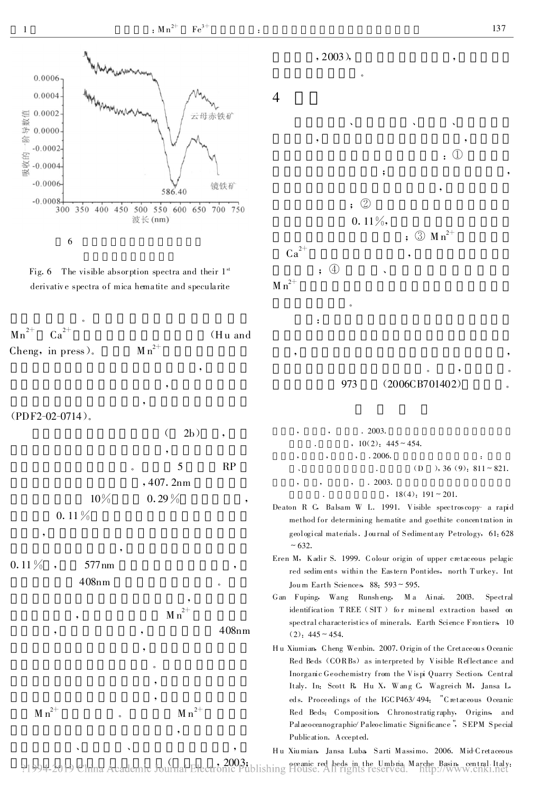





## $(PDF2-02-0714)$ .

|          |         | 2b)      |    |
|----------|---------|----------|----|
|          |         | ,        |    |
|          | $\circ$ | 5        | RP |
|          |         | ,407.2nm |    |
| $10\%$   |         | $0.29\%$ |    |
| $0.11\%$ |         |          |    |

 $0.11\%$ 577<sub>nm</sub>

 $M n^{2+}$ 









- $.2003.$  $10(2)$ : 445 ~ 454.  $.2006.$  $(D)$  $, 36(9); 811 \sim 821.$  $\ddot{\phantom{a}}$  $.2003.$  $, 18(4); 191 \sim 201.$
- Deaton R C, Balsam W L. 1991. Visible spectroscopy- a rapid method for determining hematite and goethite concentration in geological materials. Journal of Sedimentary Petrology, 61:628  $~1$  – 632.
- Eren M, Kadir S. 1999. Colour origin of upper cretaceous pelagic red sediments within the Eastern Pontides, north Turkey. Int Journ Earth Sciences, 88: 593~595.
- Gan Fuping, Wang Runsheng, Ma Ainai. 2003. Spectral identification TREE (SIT) for mineral extraction based on spectral characteristics of minerals. Earth Science Frontiers, 10  $(2)$ : 445 ~ 454.
- Hu Xiumian, Cheng Wenbin. 2007. Origin of the Cretaceous Oceanic Red Beds (CORBs) as interpreted by Visible Reflectance and Inorganic Geochemistry from the Vispi Quarry Section, Central Italy. In: Scott R. Hu X, Wang C. Wagreich M, Jansa L, eds. Proceedings of the IGCP463/494: "Cretaceous Oceanic Red Beds: Composition, Chronostratigraphy, Origins, and Palaeoceanographic/Paleoclimatic Significance", SEPM Special Publication. Accepted.

Hu Xiumian, Jansa Luba Sarti Massimo. 2006. Mid-Cretaceous

oceanic red beds in the Umbria Marche Basin, central Italy: ?1994-2019 China Academic Journal Electronic Publishing